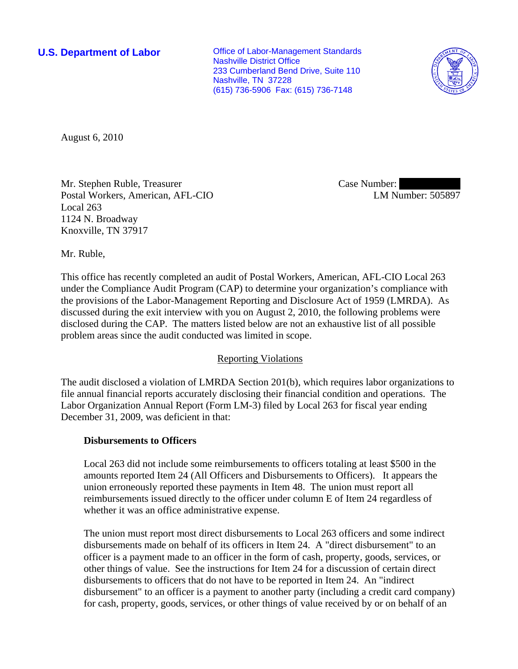**U.S. Department of Labor Conservative Conservative Conservative Conservative Conservative Conservative Conservative Conservative Conservative Conservative Conservative Conservative Conservative Conservative Conservative** Nashville District Office 233 Cumberland Bend Drive, Suite 110 Nashville, TN 37228 (615) 736-5906 Fax: (615) 736-7148



August 6, 2010

Mr. Stephen Ruble, Treasurer Postal Workers, American, AFL-CIO Local 263 1124 N. Broadway Knoxville, TN 37917

Case Number: LM Number: 505897

Mr. Ruble,

This office has recently completed an audit of Postal Workers, American, AFL-CIO Local 263 under the Compliance Audit Program (CAP) to determine your organization's compliance with the provisions of the Labor-Management Reporting and Disclosure Act of 1959 (LMRDA). As discussed during the exit interview with you on August 2, 2010, the following problems were disclosed during the CAP. The matters listed below are not an exhaustive list of all possible problem areas since the audit conducted was limited in scope.

## Reporting Violations

The audit disclosed a violation of LMRDA Section 201(b), which requires labor organizations to file annual financial reports accurately disclosing their financial condition and operations. The Labor Organization Annual Report (Form LM-3) filed by Local 263 for fiscal year ending December 31, 2009, was deficient in that:

## **Disbursements to Officers**

Local 263 did not include some reimbursements to officers totaling at least \$500 in the amounts reported Item 24 (All Officers and Disbursements to Officers). It appears the union erroneously reported these payments in Item 48. The union must report all reimbursements issued directly to the officer under column E of Item 24 regardless of whether it was an office administrative expense.

The union must report most direct disbursements to Local 263 officers and some indirect disbursements made on behalf of its officers in Item 24. A "direct disbursement" to an officer is a payment made to an officer in the form of cash, property, goods, services, or other things of value. See the instructions for Item 24 for a discussion of certain direct disbursements to officers that do not have to be reported in Item 24. An "indirect disbursement" to an officer is a payment to another party (including a credit card company) for cash, property, goods, services, or other things of value received by or on behalf of an